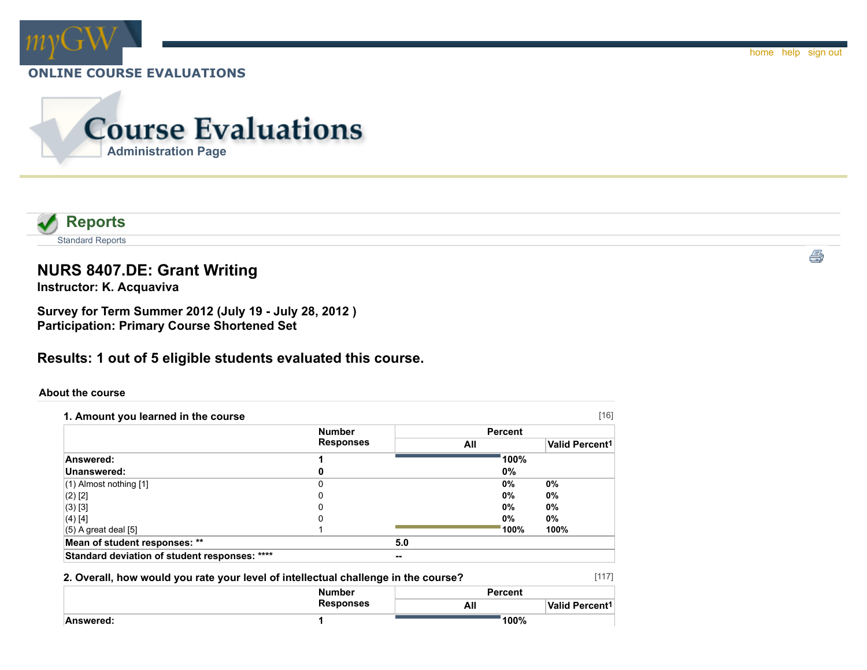





# **NURS 8407.DE: Grant Writing**

**Instructor: K. Acquaviva**

**Survey for Term Summer 2012 (July 19 - July 28, 2012 ) Participation: Primary Course Shortened Set**

## **Results: 1 out of 5 eligible students evaluated this course.**

#### **About the course**

|                                               | <b>Number</b>    |     | <b>Percent</b> |                            |
|-----------------------------------------------|------------------|-----|----------------|----------------------------|
|                                               | <b>Responses</b> |     | All            | Valid Percent <sup>1</sup> |
| Answered:                                     |                  |     | 100%           |                            |
| Unanswered:                                   |                  |     | 0%             |                            |
| $(1)$ Almost nothing $[1]$                    |                  |     | 0%             | 0%                         |
| $(2)$ [2]                                     | 0                |     | 0%             | 0%                         |
| (3) [3]                                       |                  |     | 0%             | $0\%$                      |
| (4) [4]                                       | 0                |     | 0%             | 0%                         |
| $(5)$ A great deal [5]                        |                  |     | 100%           | 100%                       |
| Mean of student responses: **                 |                  | 5.0 |                |                            |
| Standard deviation of student responses: **** |                  | --  |                |                            |

#### **2. Overall, how would you rate your level of intellectual challenge in the course?**

|           | <b>Number</b>    | <b>Percent</b> |                       |  |
|-----------|------------------|----------------|-----------------------|--|
|           | <b>Responses</b> | All            | <b>Valid Percent1</b> |  |
| Answered: |                  | 100%           |                       |  |

[117]

e)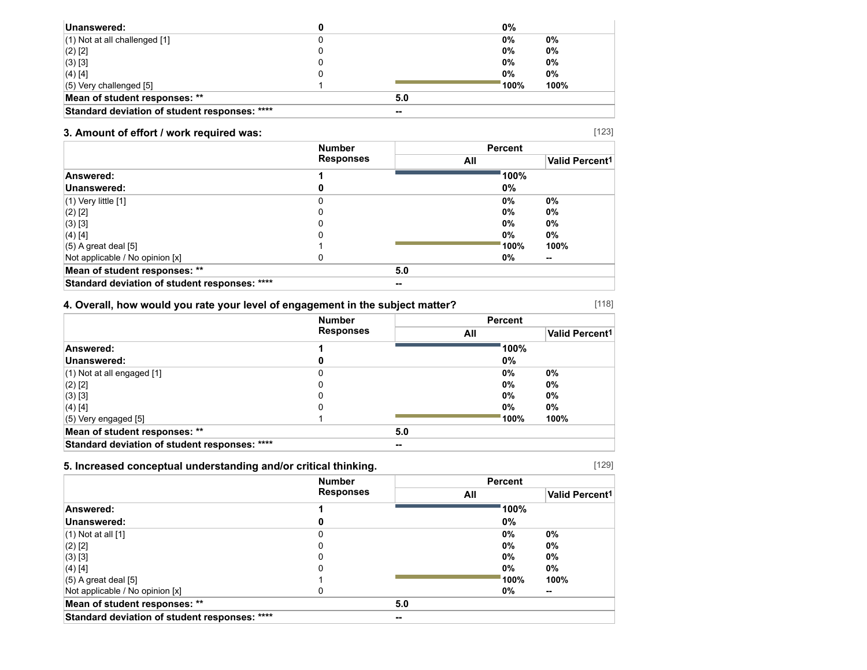| Unanswered:                                   |   |     | 0%    |       |
|-----------------------------------------------|---|-----|-------|-------|
| $(1)$ Not at all challenged $[1]$             |   |     | $0\%$ | 0%    |
| $(2)$ [2]                                     | u |     | $0\%$ | 0%    |
| (3) [3]                                       |   |     | $0\%$ | $0\%$ |
| $(4)$ [4]                                     |   |     | 0%    | 0%    |
| $(5)$ Very challenged $[5]$                   |   |     | 100%  | 100%  |
| Mean of student responses: **                 |   | 5.0 |       |       |
| Standard deviation of student responses: **** |   | --  |       |       |

## **3. Amount of effort / work required was:**

|                                               | <b>Number</b>    |     | <b>Percent</b> |        |  |
|-----------------------------------------------|------------------|-----|----------------|--------|--|
|                                               | <b>Responses</b> |     | All            |        |  |
| Answered:                                     |                  |     | 100%           |        |  |
| Unanswered:                                   |                  |     | 0%             |        |  |
| $(1)$ Very little $[1]$                       |                  |     | 0%             | 0%     |  |
| $(2)$ [2]                                     |                  |     | 0%             | $0\%$  |  |
| $(3)$ [3]                                     |                  |     | 0%             | 0%     |  |
| $(4)$ [4]                                     |                  |     | 0%             | 0%     |  |
| $(5)$ A great deal [5]                        |                  |     | 100%           | 100%   |  |
| Not applicable / No opinion [x]               |                  |     | 0%             | $\sim$ |  |
| Mean of student responses: **                 |                  | 5.0 |                |        |  |
| Standard deviation of student responses: **** |                  | --  |                |        |  |

## **4. Overall, how would you rate your level of engagement in the subject matter?**

|                                               | <b>Number</b>    |     | <b>Percent</b> |                       |
|-----------------------------------------------|------------------|-----|----------------|-----------------------|
|                                               | <b>Responses</b> | All |                | <b>Valid Percent1</b> |
| Answered:                                     |                  |     | 100%           |                       |
| Unanswered:                                   |                  |     | 0%             |                       |
| $(1)$ Not at all engaged $[1]$                |                  |     | $0\%$          | $0\%$                 |
| $(2)$ [2]                                     | 0                |     | $0\%$          | 0%                    |
| $(3)$ [3]                                     |                  |     | $0\%$          | $0\%$                 |
| $(4)$ [4]                                     |                  |     | $0\%$          | $0\%$                 |
| $(5)$ Very engaged [5]                        |                  |     | 100%           | 100%                  |
| Mean of student responses: **                 |                  | 5.0 |                |                       |
| Standard deviation of student responses: **** |                  | --  |                |                       |

## **5. Increased conceptual understanding and/or critical thinking.**

|                                               | <b>Number</b> |     | <b>Percent</b>        |        |
|-----------------------------------------------|---------------|-----|-----------------------|--------|
| <b>Responses</b>                              | All           |     | <b>Valid Percent1</b> |        |
| Answered:                                     |               |     | 100%                  |        |
| Unanswered:                                   |               |     | 0%                    |        |
| $(1)$ Not at all $[1]$                        |               |     | 0%                    | 0%     |
| $(2)$ [2]                                     |               |     | 0%                    | $0\%$  |
| $(3)$ [3]                                     |               |     | 0%                    | $0\%$  |
| $(4)$ [4]                                     |               |     | 0%                    | $0\%$  |
| $(5)$ A great deal [5]                        |               |     | 100%                  | 100%   |
| Not applicable / No opinion [x]               |               |     | 0%                    | $\sim$ |
| Mean of student responses: **                 |               | 5.0 |                       |        |
| Standard deviation of student responses: **** |               | --  |                       |        |

[129]

[118]

[123]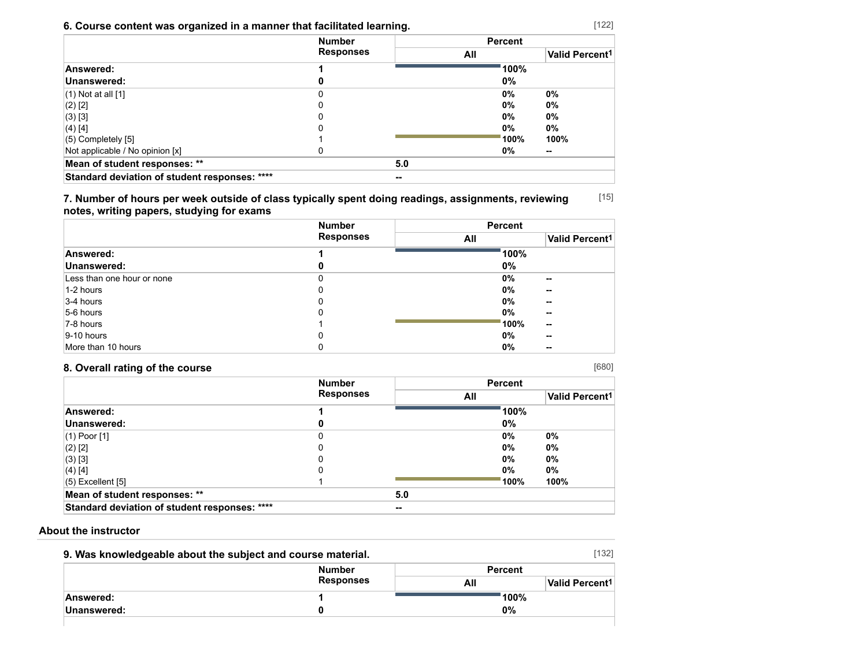## **6. Course content was organized in a manner that facilitated learning.**

|                                               | <b>Number</b>    |     | <b>Percent</b> |                       |
|-----------------------------------------------|------------------|-----|----------------|-----------------------|
|                                               | <b>Responses</b> | All |                | <b>Valid Percent1</b> |
| Answered:                                     |                  |     | 100%           |                       |
| Unanswered:                                   |                  |     | 0%             |                       |
| $(1)$ Not at all $[1]$                        | U                |     | 0%             | 0%                    |
| $(2)$ [2]                                     | Ω                |     | 0%             | 0%                    |
| $(3)$ [3]                                     |                  |     | $0\%$          | 0%                    |
| $(4)$ [4]                                     |                  |     | $0\%$          | $0\%$                 |
| $(5)$ Completely $[5]$                        |                  |     | 100%           | 100%                  |
| Not applicable / No opinion [x]               |                  |     | 0%             | --                    |
| Mean of student responses: **                 |                  | 5.0 |                |                       |
| Standard deviation of student responses: **** |                  |     |                |                       |

[15] **7. Number of hours per week outside of class typically spent doing readings, assignments, reviewing notes, writing papers, studying for exams**

|                            | <b>Number</b>    | <b>Percent</b>                    |
|----------------------------|------------------|-----------------------------------|
|                            | <b>Responses</b> | Valid Percent <sup>1</sup><br>All |
| Answered:                  |                  | 100%                              |
| Unanswered:                | o                | $0\%$                             |
| Less than one hour or none |                  | $0\%$<br>--                       |
| 1-2 hours                  | 0                | 0%<br>--                          |
| 3-4 hours                  | 0                | 0%<br>--                          |
| 5-6 hours                  | 0                | 0%<br>--                          |
| 7-8 hours                  |                  | 100%<br>--                        |
| $ 9-10$ hours              | 0                | 0%<br>--                          |
| More than 10 hours         | 0                | 0%<br>--                          |

## **8. Overall rating of the course**

|                                               | <b>Number</b><br><b>Responses</b> |     | <b>Percent</b> |                            |
|-----------------------------------------------|-----------------------------------|-----|----------------|----------------------------|
|                                               |                                   | All |                | Valid Percent <sup>1</sup> |
| Answered:                                     |                                   |     | 100%           |                            |
| Unanswered:                                   |                                   |     | 0%             |                            |
| $(1)$ Poor $[1]$                              | 0                                 |     | $0\%$          | $0\%$                      |
| $(2)$ [2]                                     | 0                                 |     | $0\%$          | 0%                         |
| $(3)$ [3]                                     | 0                                 |     | $0\%$          | $0\%$                      |
| $(4)$ [4]                                     |                                   |     | $0\%$          | $0\%$                      |
| $(5)$ Excellent $[5]$                         |                                   |     | 100%           | 100%                       |
| Mean of student responses: **                 |                                   | 5.0 |                |                            |
| Standard deviation of student responses: **** |                                   | --  |                |                            |

#### **About the instructor**

| 9. Was knowledgeable about the subject and course material. |                  |                | [132]                      |
|-------------------------------------------------------------|------------------|----------------|----------------------------|
|                                                             | <b>Number</b>    | <b>Percent</b> |                            |
|                                                             | <b>Responses</b> | All            | Valid Percent <sup>1</sup> |
| Answered:                                                   |                  |                | 100%                       |
| Unanswered:                                                 |                  | 0%             |                            |
|                                                             |                  |                |                            |

[122]

[680]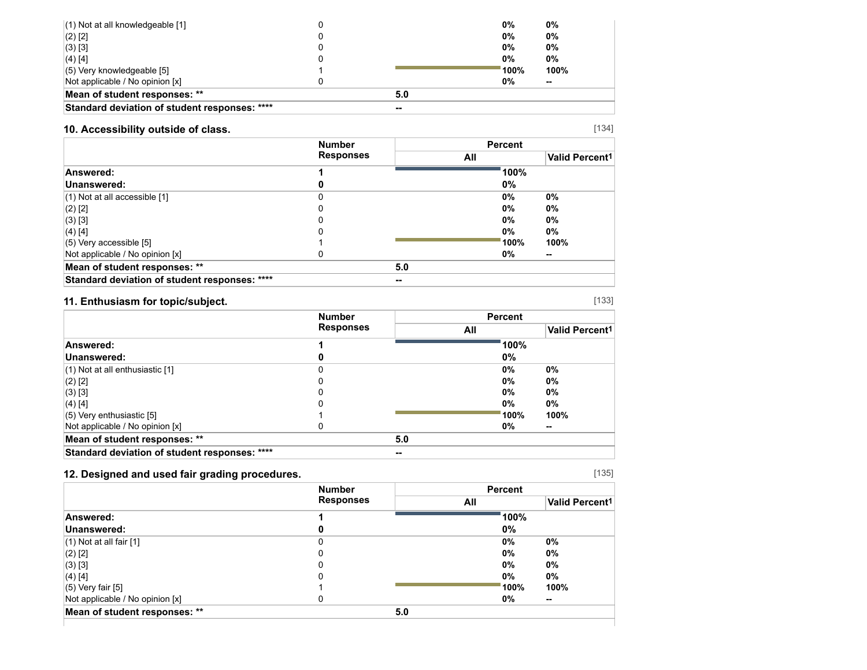| $(2)$ [2]                                     |       | $0\%$  | $0\%$  |  |
|-----------------------------------------------|-------|--------|--------|--|
| $(3)$ [3]                                     |       | $0\%$  | $0\%$  |  |
| $(4)$ [4]                                     |       | 0%     | $0\%$  |  |
| $(5)$ Very knowledgeable [5]                  |       | ່ 100% | 100%   |  |
| Not applicable / No opinion [x]               |       | 0%     | $\sim$ |  |
| Mean of student responses: **                 | 5.0   |        |        |  |
| Standard deviation of student responses: **** | $- -$ |        |        |  |

## **10. Accessibility outside of class.**

|                                               | <b>Number</b>    |     | <b>Percent</b> |                       |
|-----------------------------------------------|------------------|-----|----------------|-----------------------|
|                                               | <b>Responses</b> |     | All            | <b>Valid Percent1</b> |
| Answered:                                     |                  |     | 100%           |                       |
| Unanswered:                                   |                  |     | 0%             |                       |
| $(1)$ Not at all accessible $[1]$             |                  |     | $0\%$          | 0%                    |
| $(2)$ [2]                                     |                  |     | $0\%$          | $0\%$                 |
| $(3)$ [3]                                     |                  |     | $0\%$          | $0\%$                 |
| $(4)$ [4]                                     |                  |     | $0\%$          | 0%                    |
| $(5)$ Very accessible [5]                     |                  |     | 100%           | 100%                  |
| Not applicable / No opinion [x]               |                  |     | 0%             | $\sim$                |
| Mean of student responses: **                 |                  | 5.0 |                |                       |
| Standard deviation of student responses: **** |                  | --  |                |                       |

## **11. Enthusiasm for topic/subject.**

|                                               | <b>Number</b><br><b>Responses</b> |       |       | <b>Percent</b>        |  |
|-----------------------------------------------|-----------------------------------|-------|-------|-----------------------|--|
|                                               |                                   | All   |       | <b>Valid Percent1</b> |  |
| Answered:                                     |                                   |       | 100%  |                       |  |
| Unanswered:                                   |                                   |       | 0%    |                       |  |
| $(1)$ Not at all enthusiastic $[1]$           | 0                                 |       | $0\%$ | $0\%$                 |  |
| $(2)$ [2]                                     |                                   |       | $0\%$ | 0%                    |  |
| $(3)$ [3]                                     |                                   |       | $0\%$ | $0\%$                 |  |
| $(4)$ [4]                                     |                                   |       | $0\%$ | 0%                    |  |
| $(5)$ Very enthusiastic [5]                   |                                   |       | 100%  | 100%                  |  |
| Not applicable / No opinion [x]               |                                   |       | 0%    | $\sim$                |  |
| Mean of student responses: **                 |                                   | 5.0   |       |                       |  |
| Standard deviation of student responses: **** |                                   | $- -$ |       |                       |  |

## **12. Designed and used fair grading procedures.**

|  | $\sim$<br>o esta<br>۰, |
|--|------------------------|
|--|------------------------|

|                                 | <b>Number</b>    | <b>Percent</b> |                       |  |
|---------------------------------|------------------|----------------|-----------------------|--|
|                                 | <b>Responses</b> | All            | <b>Valid Percent1</b> |  |
| Answered:                       |                  | 100%           |                       |  |
| Unanswered:                     |                  | $0\%$          |                       |  |
| $(1)$ Not at all fair $[1]$     |                  | $0\%$          | 0%                    |  |
| $(2)$ [2]                       |                  | $0\%$          | 0%                    |  |
| $(3)$ [3]                       |                  | $0\%$          | 0%                    |  |
| $(4)$ [4]                       |                  | $0\%$          | 0%                    |  |
| $(5)$ Very fair [5]             |                  | 100%           | 100%                  |  |
| Not applicable / No opinion [x] | U                | 0%             | $\sim$                |  |
| Mean of student responses: **   | 5.0              |                |                       |  |

[134]

[133]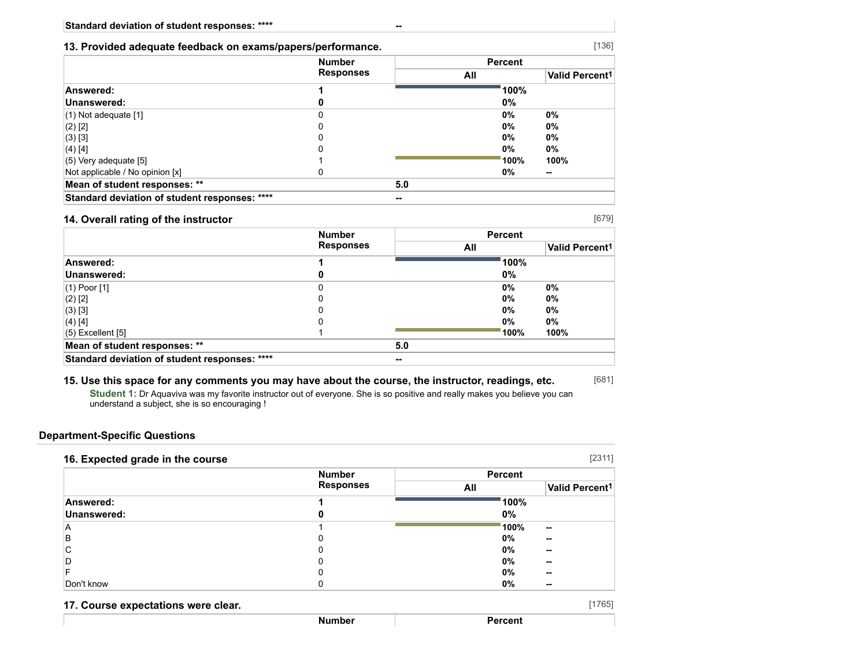#### **13. Provided adequate feedback on exams/papers/performance.**

|                                               | <b>Number</b>    | <b>Percent</b> |       |                       |  |
|-----------------------------------------------|------------------|----------------|-------|-----------------------|--|
|                                               | <b>Responses</b> | All            |       | <b>Valid Percent1</b> |  |
| Answered:                                     |                  |                | 100%  |                       |  |
| Unanswered:                                   |                  |                | 0%    |                       |  |
| $(1)$ Not adequate $[1]$                      |                  |                | $0\%$ | $0\%$                 |  |
| $(2)$ [2]                                     |                  |                | $0\%$ | 0%                    |  |
| (3) [3]                                       |                  |                | 0%    | 0%                    |  |
| (4) [4]                                       |                  |                | 0%    | 0%                    |  |
| $(5)$ Very adequate [5]                       |                  |                | 100%  | 100%                  |  |
| Not applicable / No opinion [x]               |                  |                | 0%    | --                    |  |
| Mean of student responses: **                 |                  | 5.0            |       |                       |  |
| Standard deviation of student responses: **** |                  | --             |       |                       |  |

#### **14. Overall rating of the instructor**

[679]

[681]

[136]

|                                               | <b>Number</b>    |       |       | <b>Percent</b> |                       |
|-----------------------------------------------|------------------|-------|-------|----------------|-----------------------|
|                                               | <b>Responses</b> |       | All   |                | <b>Valid Percent1</b> |
| Answered:                                     |                  |       |       | 100%           |                       |
| Unanswered:                                   |                  |       | $0\%$ |                |                       |
| $(1)$ Poor $[1]$                              | 0                |       | $0\%$ |                | 0%                    |
| $(2)$ [2]                                     |                  |       | $0\%$ |                | 0%                    |
| $(3)$ [3]                                     |                  |       | $0\%$ |                | 0%                    |
| $(4)$ [4]                                     |                  |       | $0\%$ |                | 0%                    |
| $(5)$ Excellent $[5]$                         |                  |       |       | 100%           | 100%                  |
| Mean of student responses: **                 |                  | 5.0   |       |                |                       |
| Standard deviation of student responses: **** |                  | $- -$ |       |                |                       |

#### **15. Use this space for any comments you may have about the course, the instructor, readings, etc.**

**Student 1:** Dr Aquaviva was my favorite instructor out of everyone. She is so positive and really makes you believe you can understand a subject, she is so encouraging !

#### **Department-Specific Questions**

|             | <b>Number</b>    | <b>Percent</b> |                            |
|-------------|------------------|----------------|----------------------------|
|             | <b>Responses</b> | All            | Valid Percent <sup>1</sup> |
| Answered:   |                  | 100%           |                            |
| Unanswered: | O                | 0%             |                            |
| A           |                  | 100%           | $\sim$                     |
| B           | 0                | 0%             | --                         |
| С           |                  | $0\%$          | --                         |
| D           | 0                | $0\%$          | --                         |
|             | 0                | 0%             | --                         |
| Don't know  |                  | 0%             | --                         |

| 17. Course expectations were clear. |        |         | 17651 |
|-------------------------------------|--------|---------|-------|
|                                     | Number | Percent |       |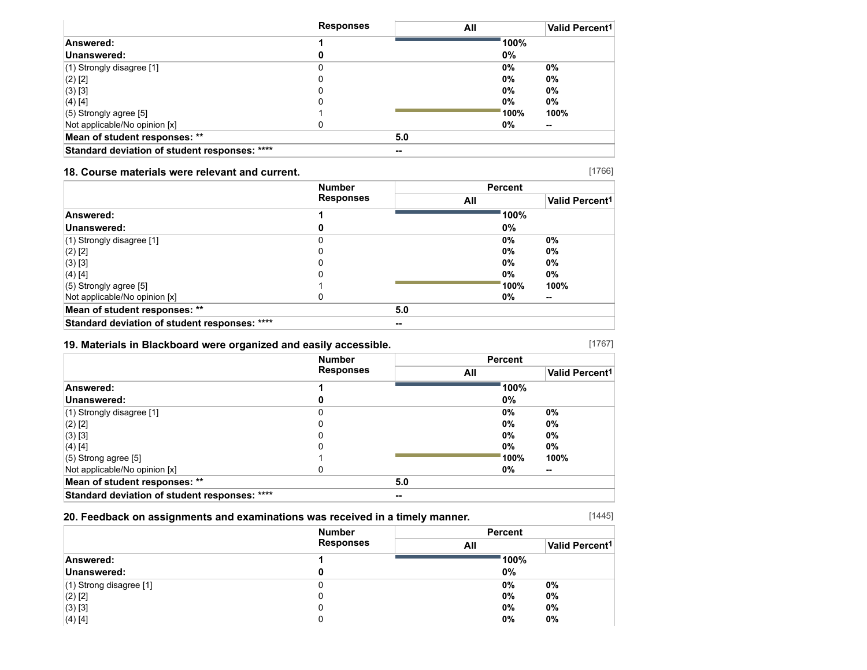|                                               | <b>Responses</b> | All   |      | Valid Percent <sup>1</sup> |
|-----------------------------------------------|------------------|-------|------|----------------------------|
| Answered:                                     |                  |       | 100% |                            |
| Unanswered:                                   |                  |       | 0%   |                            |
| (1) Strongly disagree [1]                     |                  |       | 0%   | 0%                         |
| (2) [2]                                       |                  |       | 0%   | 0%                         |
| (3) [3]                                       |                  |       | 0%   | 0%                         |
| (4) [4]                                       |                  |       | 0%   | 0%                         |
| $(5)$ Strongly agree [5]                      |                  |       | 100% | 100%                       |
| Not applicable/No opinion [x]                 |                  |       | 0%   | $\sim$                     |
| Mean of student responses: **                 |                  | 5.0   |      |                            |
| Standard deviation of student responses: **** |                  | $- -$ |      |                            |

#### **18. Course materials were relevant and current.**

|                                               | <b>Number</b>    |        | <b>Percent</b> |       |
|-----------------------------------------------|------------------|--------|----------------|-------|
|                                               | <b>Responses</b> |        | All            |       |
| Answered:                                     |                  |        | 100%           |       |
| Unanswered:                                   |                  |        | 0%             |       |
| (1) Strongly disagree [1]                     | 0                |        | 0%             | 0%    |
| $(2)$ [2]                                     | 0                |        | 0%             | $0\%$ |
| $(3)$ [3]                                     |                  |        | $0\%$          | 0%    |
| (4) [4]                                       | 0                |        | 0%             | $0\%$ |
| $(5)$ Strongly agree [5]                      |                  |        | 100%           | 100%  |
| Not applicable/No opinion [x]                 | 0                |        | 0%             | --    |
| Mean of student responses: **                 |                  | 5.0    |                |       |
| Standard deviation of student responses: **** |                  | $\sim$ |                |       |

#### **19. Materials in Blackboard were organized and easily accessible.**

[1767]

[1445]

|                                               | <b>Number</b>    |       | <b>Percent</b> |                       |
|-----------------------------------------------|------------------|-------|----------------|-----------------------|
|                                               | <b>Responses</b> |       | All            | <b>Valid Percent1</b> |
| Answered:                                     |                  |       | 100%           |                       |
| Unanswered:                                   |                  |       | 0%             |                       |
| (1) Strongly disagree [1]                     | 0                |       | 0%             | 0%                    |
| (2) [2]                                       |                  |       | $0\%$          | $0\%$                 |
| $(3)$ [3]                                     | 0                |       | 0%             | 0%                    |
| (4) [4]                                       |                  |       | 0%             | 0%                    |
| $(5)$ Strong agree [5]                        |                  |       | 100%           | 100%                  |
| Not applicable/No opinion [x]                 |                  |       | 0%             | --                    |
| Mean of student responses: **                 |                  | 5.0   |                |                       |
| Standard deviation of student responses: **** |                  | $- -$ |                |                       |

## **20. Feedback on assignments and examinations was received in a timely manner.**

|                           | <b>Number</b>    | <b>Percent</b> |                            |
|---------------------------|------------------|----------------|----------------------------|
|                           | <b>Responses</b> | All            | Valid Percent <sup>1</sup> |
| Answered:                 |                  | 100%           |                            |
| Unanswered:               |                  | 0%             |                            |
| $(1)$ Strong disagree [1] |                  | $0\%$          | 0%                         |
| $(2)$ [2]                 |                  | 0%             | $0\%$                      |
| (3) [3]                   |                  | $0\%$          | $0\%$                      |
| (4) [4]                   |                  | 0%             | 0%                         |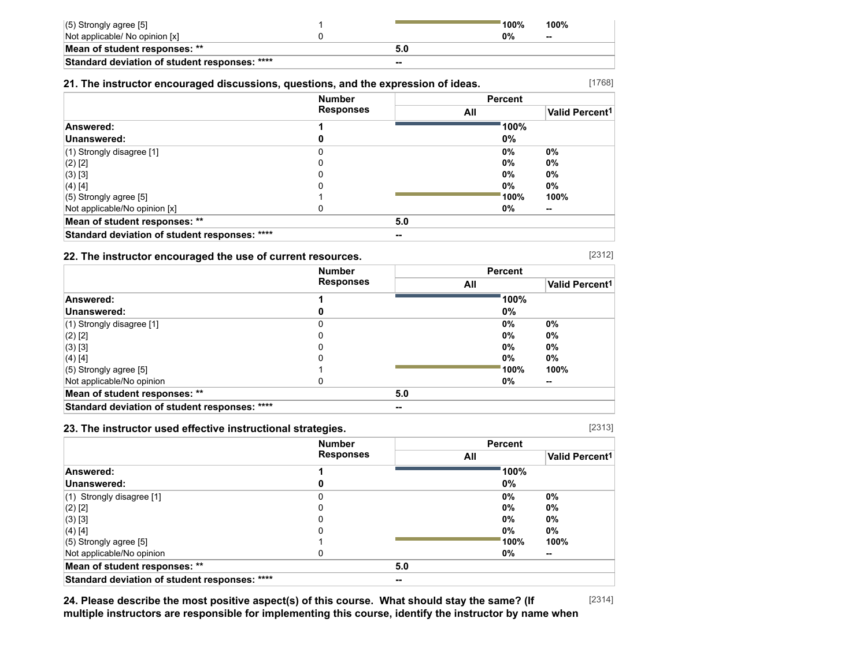| $(5)$ Strongly agree [5]                      |       | $^{\backprime}$ 100% | 100%                     |
|-----------------------------------------------|-------|----------------------|--------------------------|
| Not applicable/ No opinion [x]                |       | 0%                   | $\overline{\phantom{a}}$ |
| Mean of student responses: **                 |       |                      |                          |
| Standard deviation of student responses: **** | $- -$ |                      |                          |

#### **21. The instructor encouraged discussions, questions, and the expression of ideas.**

#### [1768]

|                                               | <b>Number</b><br><b>Responses</b> |     | <b>Percent</b> |                            |
|-----------------------------------------------|-----------------------------------|-----|----------------|----------------------------|
|                                               |                                   | All |                | Valid Percent <sup>1</sup> |
| Answered:                                     |                                   |     | 100%           |                            |
| Unanswered:                                   | o                                 |     | 0%             |                            |
| $(1)$ Strongly disagree [1]                   |                                   |     | $0\%$          | 0%                         |
| $(2)$ [2]                                     |                                   |     | $0\%$          | 0%                         |
| (3) [3]                                       |                                   |     | $0\%$          | 0%                         |
| $(4)$ [4]                                     | 0                                 |     | $0\%$          | $0\%$                      |
| $(5)$ Strongly agree [5]                      |                                   |     | 100%           | 100%                       |
| Not applicable/No opinion [x]                 |                                   |     | 0%             | --                         |
| Mean of student responses: **                 |                                   | 5.0 |                |                            |
| Standard deviation of student responses: **** |                                   | --  |                |                            |

#### **22. The instructor encouraged the use of current resources.**

|                                               | <b>Number</b><br><b>Responses</b> |       | <b>Percent</b> |                       |
|-----------------------------------------------|-----------------------------------|-------|----------------|-----------------------|
|                                               |                                   | All   |                | <b>Valid Percent1</b> |
| Answered:                                     |                                   |       | 100%           |                       |
| Unanswered:                                   |                                   |       | 0%             |                       |
| (1) Strongly disagree [1]                     |                                   |       | $0\%$          | $0\%$                 |
| $(2)$ [2]                                     |                                   |       | $0\%$          | $0\%$                 |
| (3) [3]                                       |                                   |       | $0\%$          | $0\%$                 |
| $(4)$ [4]                                     |                                   |       | $0\%$          | $0\%$                 |
| $(5)$ Strongly agree [5]                      |                                   |       | 100%           | 100%                  |
| Not applicable/No opinion                     |                                   |       | 0%             | --                    |
| Mean of student responses: **                 |                                   | 5.0   |                |                       |
| Standard deviation of student responses: **** |                                   | $- -$ |                |                       |

#### **23. The instructor used effective instructional strategies.**

[2313]

|                                               | <b>Number</b>    |     | <b>Percent</b> |                       |
|-----------------------------------------------|------------------|-----|----------------|-----------------------|
|                                               | <b>Responses</b> |     | All            | <b>Valid Percent1</b> |
| Answered:                                     |                  |     | 100%           |                       |
| Unanswered:                                   |                  |     | $0\%$          |                       |
| $(1)$ Strongly disagree [1]                   |                  |     | 0%             | 0%                    |
| $(2)$ [2]                                     |                  |     | 0%             | $0\%$                 |
| $(3)$ [3]                                     |                  |     | 0%             | 0%                    |
| (4) [4]                                       |                  |     | 0%             | $0\%$                 |
| $(5)$ Strongly agree [5]                      |                  |     | 100%           | 100%                  |
| Not applicable/No opinion                     | O                |     | 0%             | $\sim$                |
| Mean of student responses: **                 |                  | 5.0 |                |                       |
| Standard deviation of student responses: **** |                  | --  |                |                       |

[2314] **24. Please describe the most positive aspect(s) of this course. What should stay the same? (If multiple instructors are responsible for implementing this course, identify the instructor by name when**

[2312]